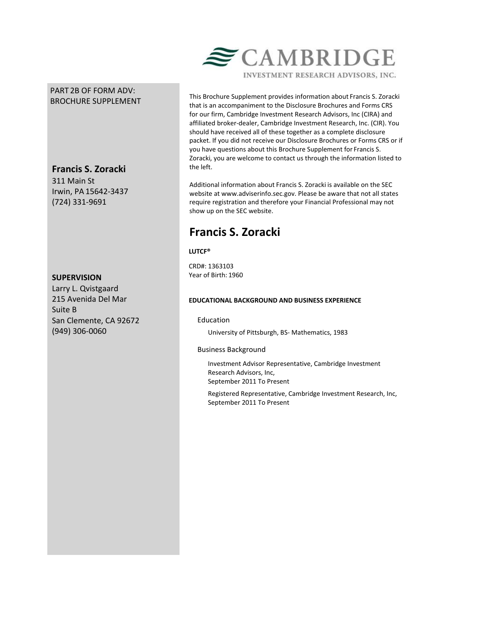# PART 2B OF FORM ADV: BROCHURE SUPPLEMENT

**Francis S. Zoracki**

311 Main St Irwin, PA 15642-3437 (724) 331-9691

## **SUPERVISION**

Larry L. Qvistgaard 215 Avenida Del Mar Suite B San Clemente, CA 92672 (949) 306-0060



This Brochure Supplement provides information about Francis S. Zoracki that is an accompaniment to the Disclosure Brochures and Forms CRS for our firm, Cambridge Investment Research Advisors, Inc (CIRA) and

affiliated broker-dealer, Cambridge Investment Research, Inc. (CIR). You should have received all of these together as a complete disclosure packet. If you did not receive our Disclosure Brochures or Forms CRS or if you have questions about this Brochure Supplement for Francis S. Zoracki, you are welcome to contact us through the information listed to the left.

Additional information about Francis S. Zoracki is available on the SEC website at www.adviserinfo.sec.gov. Please be aware that not all states require registration and therefore your Financial Professional may not show up on the SEC website.

# **Francis S. Zoracki**

**LUTCF®**

CRD#: 1363103 Year of Birth: 1960

## **EDUCATIONAL BACKGROUND AND BUSINESS EXPERIENCE**

## Education

University of Pittsburgh, BS- Mathematics, 1983

## Business Background

Investment Advisor Representative, Cambridge Investment Research Advisors, Inc, September 2011 To Present

Registered Representative, Cambridge Investment Research, Inc, September 2011 To Present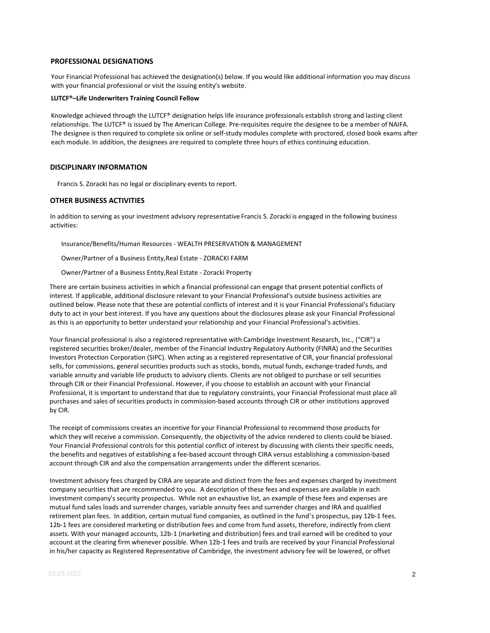### **PROFESSIONAL DESIGNATIONS**

Your Financial Professional has achieved the designation(s) below. If you would like additional information you may discuss with your financial professional or visit the issuing entity's website.

#### **LUTCF®–Life Underwriters Training Council Fellow**

Knowledge achieved through the LUTCF® designation helps life insurance professionals establish strong and lasting client relationships. The LUTCF® is issued by The American College. Pre-requisites require the designee to be a member of NAIFA. The designee is then required to complete six online or self-study modules complete with proctored, closed book exams after each module. In addition, the designees are required to complete three hours of ethics continuing education.

#### **DISCIPLINARY INFORMATION**

Francis S. Zoracki has no legal or disciplinary events to report.

### **OTHER BUSINESS ACTIVITIES**

In addition to serving as your investment advisory representative Francis S. Zoracki is engaged in the following business activities:

Insurance/Benefits/Human Resources - WEALTH PRESERVATION & MANAGEMENT

Owner/Partner of a Business Entity,Real Estate - ZORACKI FARM

Owner/Partner of a Business Entity,Real Estate - Zoracki Property

There are certain business activities in which a financial professional can engage that present potential conflicts of interest. If applicable, additional disclosure relevant to your Financial Professional's outside business activities are outlined below. Please note that these are potential conflicts of interest and it is your Financial Professional's fiduciary duty to act in your best interest. If you have any questions about the disclosures please ask your Financial Professional as this is an opportunity to better understand your relationship and your Financial Professional's activities.

Your financial professional is also a registered representative with Cambridge Investment Research, Inc., ("CIR") a registered securities broker/dealer, member of the Financial Industry Regulatory Authority (FINRA) and the Securities Investors Protection Corporation (SIPC). When acting as a registered representative of CIR, your financial professional sells, for commissions, general securities products such as stocks, bonds, mutual funds, exchange-traded funds, and variable annuity and variable life products to advisory clients. Clients are not obliged to purchase or sell securities through CIR or their Financial Professional. However, if you choose to establish an account with your Financial Professional, it is important to understand that due to regulatory constraints, your Financial Professional must place all purchases and sales of securities products in commission-based accounts through CIR or other institutions approved by CIR.

The receipt of commissions creates an incentive for your Financial Professional to recommend those products for which they will receive a commission. Consequently, the objectivity of the advice rendered to clients could be biased. Your Financial Professional controls for this potential conflict of interest by discussing with clients their specific needs, the benefits and negatives of establishing a fee-based account through CIRA versus establishing a commission-based account through CIR and also the compensation arrangements under the different scenarios.

Investment advisory fees charged by CIRA are separate and distinct from the fees and expenses charged by investment company securities that are recommended to you. A description of these fees and expenses are available in each investment company's security prospectus. While not an exhaustive list, an example of these fees and expenses are mutual fund sales loads and surrender charges, variable annuity fees and surrender charges and IRA and qualified retirement plan fees. In addition, certain mutual fund companies, as outlined in the fund's prospectus, pay 12b-1 fees. 12b-1 fees are considered marketing or distribution fees and come from fund assets, therefore, indirectly from client assets. With your managed accounts, 12b-1 (marketing and distribution) fees and trail earned will be credited to your account at the clearing firm whenever possible. When 12b-1 fees and trails are received by your Financial Professional in his/her capacity as Registered Representative of Cambridge, the investment advisory fee will be lowered, or offset